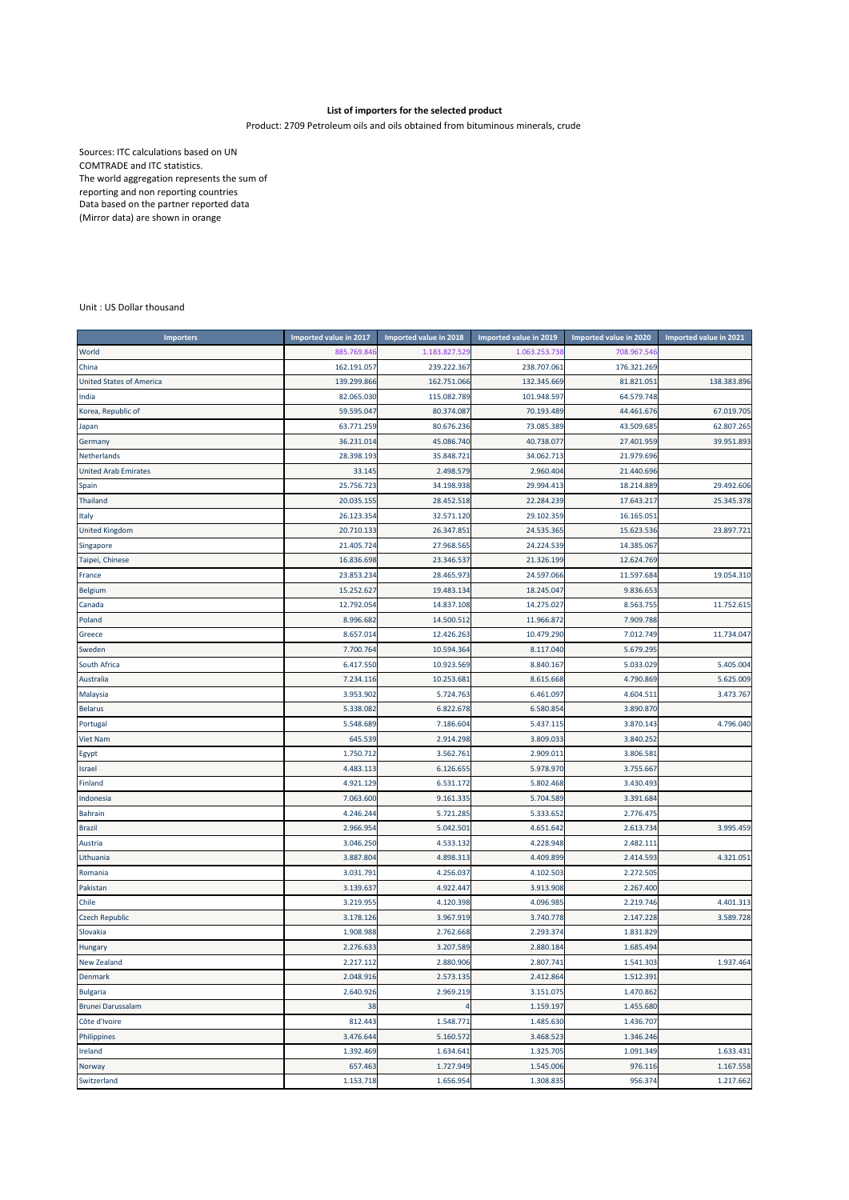## **List of importers for the selected product**

Product: 2709 Petroleum oils and oils obtained from bituminous minerals, crude

Sources: ITC calculations based on UN COMTRADE and ITC statistics. The world aggregation represents the sum of reporting and non reporting countries Data based on the partner reported data (Mirror data) are shown in orange

Unit : US Dollar thousand

| World<br>885.769.846<br>1.183.827.529<br>1.063.253.738<br>708.967.54<br>China<br>162.191.05<br>239.222.367<br>238.707.061<br>176.321.26<br><b>United States of America</b><br>139.299.866<br>162.751.066<br>132.345.669<br>81.821.05<br>138.383.896<br>82.065.030<br>115.082.789<br>101.948.597<br>64.579.748<br>India<br>59.595.047<br>67.019.705<br>80.374.087<br>70.193.489<br>44.461.676<br>Korea, Republic of<br>62.807.265<br>63.771.259<br>80.676.236<br>73.085.389<br>43.509.685<br>Japan<br>39.951.893<br>36.231.014<br>45.086.740<br>40.738.077<br>27.401.959<br>Germany<br>28.398.193<br>35.848.721<br>34.062.713<br>21.979.696<br>Netherlands<br>2.498.579<br>2.960.404<br>21.440.696<br><b>United Arab Emirates</b><br>33.145<br>25.756.723<br>34.198.938<br>29.994.413<br>18.214.889<br>29.492.606<br>Spain<br>20.035.155<br>22.284.239<br>17.643.217<br>25.345.378<br>Thailand<br>28.452.518<br>26.123.354<br>32.571.120<br>29.102.359<br>16.165.05<br>Italy<br>23.897.721<br><b>United Kingdom</b><br>20.710.133<br>26.347.851<br>24.535.365<br>15.623.536<br>21.405.724<br>27.968.565<br>24.224.539<br>14.385.06<br>Singapore<br>Taipei, Chinese<br>16.836.698<br>23.346.537<br>21.326.199<br>12.624.769<br>23.853.234<br>28.465.973<br>24.597.066<br>11.597.68<br>19.054.310<br>France<br>15.252.627<br>19.483.134<br>18.245.047<br>9.836.653<br>Belgium<br>12.792.054<br>14.837.108<br>14.275.027<br>8.563.755<br>11.752.615<br>Canada<br>Poland<br>8.996.682<br>14.500.512<br>11.966.872<br>7.909.788<br>8.657.014<br>12.426.263<br>10.479.290<br>7.012.749<br>11.734.047<br>Greece<br>Sweden<br>7.700.764<br>10.594.364<br>8.117.040<br>5.679.295<br>South Africa<br>6.417.550<br>10.923.569<br>8.840.167<br>5.033.029<br>5.405.004<br>Australia<br>7.234.116<br>10.253.681<br>8.615.668<br>4.790.869<br>5.625.009<br>3.953.902<br>5.724.763<br>6.461.097<br>4.604.51<br>3.473.767<br>Malaysia<br><b>Belarus</b><br>5.338.082<br>6.822.678<br>6.580.854<br>3.890.870<br>5.548.689<br>7.186.604<br>5.437.115<br>3.870.143<br>4.796.040<br>Portugal<br>645.539<br>2.914.298<br>3.809.033<br>3.840.25<br><b>Viet Nam</b><br>1.750.712<br>3.562.761<br>2.909.011<br>3.806.58<br>Egypt<br>5.978.970<br>3.755.66<br>4.483.113<br>6.126.655<br>Israel<br>4.921.129<br>6.531.172<br>5.802.468<br>3.430.49<br>Finland<br>7.063.600<br>9.161.335<br>5.704.589<br>3.391.684<br>Indonesia<br>4.246.244<br>5.721.285<br>2.776.475<br>5.333.652<br><b>Bahrain</b><br>2.966.954<br>5.042.501<br>4.651.642<br>3.995.459<br><b>Brazil</b><br>2.613.734<br>3.046.250<br>4.533.132<br>4.228.948<br>2.482.11<br>Austria<br>3.887.804<br>4.898.313<br>4.409.899<br>2.414.593<br>4.321.051<br>Lithuania<br>3.031.791<br>4.256.037<br>4.102.503<br>2.272.505<br>Romania<br>4.922.447<br>3.913.908<br>2.267.400<br>Pakistan<br>3.139.637<br>3.219.955<br>4.120.398<br>4.096.985<br>2.219.746<br>4.401.313<br>Chile<br><b>Czech Republic</b><br>3.178.126<br>3.967.919<br>3.740.778<br>2.147.228<br>3.589.728<br>2.293.374<br>Slovakia<br>1.908.988<br>2.762.668<br>1.831.829<br>2.276.633<br>3.207.589<br>2.880.184<br>1.685.494<br>Hungary<br>2.217.112<br>2.807.741<br>1.541.303 | <b>Importers</b> | Imported value in 2017 | Imported value in 2018 | Imported value in 2019 | Imported value in 2020 | Imported value in 2021 |
|---------------------------------------------------------------------------------------------------------------------------------------------------------------------------------------------------------------------------------------------------------------------------------------------------------------------------------------------------------------------------------------------------------------------------------------------------------------------------------------------------------------------------------------------------------------------------------------------------------------------------------------------------------------------------------------------------------------------------------------------------------------------------------------------------------------------------------------------------------------------------------------------------------------------------------------------------------------------------------------------------------------------------------------------------------------------------------------------------------------------------------------------------------------------------------------------------------------------------------------------------------------------------------------------------------------------------------------------------------------------------------------------------------------------------------------------------------------------------------------------------------------------------------------------------------------------------------------------------------------------------------------------------------------------------------------------------------------------------------------------------------------------------------------------------------------------------------------------------------------------------------------------------------------------------------------------------------------------------------------------------------------------------------------------------------------------------------------------------------------------------------------------------------------------------------------------------------------------------------------------------------------------------------------------------------------------------------------------------------------------------------------------------------------------------------------------------------------------------------------------------------------------------------------------------------------------------------------------------------------------------------------------------------------------------------------------------------------------------------------------------------------------------------------------------------------------------------------------------------------------------------------------------------------------------------------------------------------------------------------------------------------------------------------------------------------------------------------------------------------------------------------------------------------------------------|------------------|------------------------|------------------------|------------------------|------------------------|------------------------|
|                                                                                                                                                                                                                                                                                                                                                                                                                                                                                                                                                                                                                                                                                                                                                                                                                                                                                                                                                                                                                                                                                                                                                                                                                                                                                                                                                                                                                                                                                                                                                                                                                                                                                                                                                                                                                                                                                                                                                                                                                                                                                                                                                                                                                                                                                                                                                                                                                                                                                                                                                                                                                                                                                                                                                                                                                                                                                                                                                                                                                                                                                                                                                                                 |                  |                        |                        |                        |                        |                        |
|                                                                                                                                                                                                                                                                                                                                                                                                                                                                                                                                                                                                                                                                                                                                                                                                                                                                                                                                                                                                                                                                                                                                                                                                                                                                                                                                                                                                                                                                                                                                                                                                                                                                                                                                                                                                                                                                                                                                                                                                                                                                                                                                                                                                                                                                                                                                                                                                                                                                                                                                                                                                                                                                                                                                                                                                                                                                                                                                                                                                                                                                                                                                                                                 |                  |                        |                        |                        |                        |                        |
|                                                                                                                                                                                                                                                                                                                                                                                                                                                                                                                                                                                                                                                                                                                                                                                                                                                                                                                                                                                                                                                                                                                                                                                                                                                                                                                                                                                                                                                                                                                                                                                                                                                                                                                                                                                                                                                                                                                                                                                                                                                                                                                                                                                                                                                                                                                                                                                                                                                                                                                                                                                                                                                                                                                                                                                                                                                                                                                                                                                                                                                                                                                                                                                 |                  |                        |                        |                        |                        |                        |
|                                                                                                                                                                                                                                                                                                                                                                                                                                                                                                                                                                                                                                                                                                                                                                                                                                                                                                                                                                                                                                                                                                                                                                                                                                                                                                                                                                                                                                                                                                                                                                                                                                                                                                                                                                                                                                                                                                                                                                                                                                                                                                                                                                                                                                                                                                                                                                                                                                                                                                                                                                                                                                                                                                                                                                                                                                                                                                                                                                                                                                                                                                                                                                                 |                  |                        |                        |                        |                        |                        |
|                                                                                                                                                                                                                                                                                                                                                                                                                                                                                                                                                                                                                                                                                                                                                                                                                                                                                                                                                                                                                                                                                                                                                                                                                                                                                                                                                                                                                                                                                                                                                                                                                                                                                                                                                                                                                                                                                                                                                                                                                                                                                                                                                                                                                                                                                                                                                                                                                                                                                                                                                                                                                                                                                                                                                                                                                                                                                                                                                                                                                                                                                                                                                                                 |                  |                        |                        |                        |                        |                        |
|                                                                                                                                                                                                                                                                                                                                                                                                                                                                                                                                                                                                                                                                                                                                                                                                                                                                                                                                                                                                                                                                                                                                                                                                                                                                                                                                                                                                                                                                                                                                                                                                                                                                                                                                                                                                                                                                                                                                                                                                                                                                                                                                                                                                                                                                                                                                                                                                                                                                                                                                                                                                                                                                                                                                                                                                                                                                                                                                                                                                                                                                                                                                                                                 |                  |                        |                        |                        |                        |                        |
|                                                                                                                                                                                                                                                                                                                                                                                                                                                                                                                                                                                                                                                                                                                                                                                                                                                                                                                                                                                                                                                                                                                                                                                                                                                                                                                                                                                                                                                                                                                                                                                                                                                                                                                                                                                                                                                                                                                                                                                                                                                                                                                                                                                                                                                                                                                                                                                                                                                                                                                                                                                                                                                                                                                                                                                                                                                                                                                                                                                                                                                                                                                                                                                 |                  |                        |                        |                        |                        |                        |
|                                                                                                                                                                                                                                                                                                                                                                                                                                                                                                                                                                                                                                                                                                                                                                                                                                                                                                                                                                                                                                                                                                                                                                                                                                                                                                                                                                                                                                                                                                                                                                                                                                                                                                                                                                                                                                                                                                                                                                                                                                                                                                                                                                                                                                                                                                                                                                                                                                                                                                                                                                                                                                                                                                                                                                                                                                                                                                                                                                                                                                                                                                                                                                                 |                  |                        |                        |                        |                        |                        |
|                                                                                                                                                                                                                                                                                                                                                                                                                                                                                                                                                                                                                                                                                                                                                                                                                                                                                                                                                                                                                                                                                                                                                                                                                                                                                                                                                                                                                                                                                                                                                                                                                                                                                                                                                                                                                                                                                                                                                                                                                                                                                                                                                                                                                                                                                                                                                                                                                                                                                                                                                                                                                                                                                                                                                                                                                                                                                                                                                                                                                                                                                                                                                                                 |                  |                        |                        |                        |                        |                        |
|                                                                                                                                                                                                                                                                                                                                                                                                                                                                                                                                                                                                                                                                                                                                                                                                                                                                                                                                                                                                                                                                                                                                                                                                                                                                                                                                                                                                                                                                                                                                                                                                                                                                                                                                                                                                                                                                                                                                                                                                                                                                                                                                                                                                                                                                                                                                                                                                                                                                                                                                                                                                                                                                                                                                                                                                                                                                                                                                                                                                                                                                                                                                                                                 |                  |                        |                        |                        |                        |                        |
|                                                                                                                                                                                                                                                                                                                                                                                                                                                                                                                                                                                                                                                                                                                                                                                                                                                                                                                                                                                                                                                                                                                                                                                                                                                                                                                                                                                                                                                                                                                                                                                                                                                                                                                                                                                                                                                                                                                                                                                                                                                                                                                                                                                                                                                                                                                                                                                                                                                                                                                                                                                                                                                                                                                                                                                                                                                                                                                                                                                                                                                                                                                                                                                 |                  |                        |                        |                        |                        |                        |
|                                                                                                                                                                                                                                                                                                                                                                                                                                                                                                                                                                                                                                                                                                                                                                                                                                                                                                                                                                                                                                                                                                                                                                                                                                                                                                                                                                                                                                                                                                                                                                                                                                                                                                                                                                                                                                                                                                                                                                                                                                                                                                                                                                                                                                                                                                                                                                                                                                                                                                                                                                                                                                                                                                                                                                                                                                                                                                                                                                                                                                                                                                                                                                                 |                  |                        |                        |                        |                        |                        |
|                                                                                                                                                                                                                                                                                                                                                                                                                                                                                                                                                                                                                                                                                                                                                                                                                                                                                                                                                                                                                                                                                                                                                                                                                                                                                                                                                                                                                                                                                                                                                                                                                                                                                                                                                                                                                                                                                                                                                                                                                                                                                                                                                                                                                                                                                                                                                                                                                                                                                                                                                                                                                                                                                                                                                                                                                                                                                                                                                                                                                                                                                                                                                                                 |                  |                        |                        |                        |                        |                        |
|                                                                                                                                                                                                                                                                                                                                                                                                                                                                                                                                                                                                                                                                                                                                                                                                                                                                                                                                                                                                                                                                                                                                                                                                                                                                                                                                                                                                                                                                                                                                                                                                                                                                                                                                                                                                                                                                                                                                                                                                                                                                                                                                                                                                                                                                                                                                                                                                                                                                                                                                                                                                                                                                                                                                                                                                                                                                                                                                                                                                                                                                                                                                                                                 |                  |                        |                        |                        |                        |                        |
|                                                                                                                                                                                                                                                                                                                                                                                                                                                                                                                                                                                                                                                                                                                                                                                                                                                                                                                                                                                                                                                                                                                                                                                                                                                                                                                                                                                                                                                                                                                                                                                                                                                                                                                                                                                                                                                                                                                                                                                                                                                                                                                                                                                                                                                                                                                                                                                                                                                                                                                                                                                                                                                                                                                                                                                                                                                                                                                                                                                                                                                                                                                                                                                 |                  |                        |                        |                        |                        |                        |
|                                                                                                                                                                                                                                                                                                                                                                                                                                                                                                                                                                                                                                                                                                                                                                                                                                                                                                                                                                                                                                                                                                                                                                                                                                                                                                                                                                                                                                                                                                                                                                                                                                                                                                                                                                                                                                                                                                                                                                                                                                                                                                                                                                                                                                                                                                                                                                                                                                                                                                                                                                                                                                                                                                                                                                                                                                                                                                                                                                                                                                                                                                                                                                                 |                  |                        |                        |                        |                        |                        |
|                                                                                                                                                                                                                                                                                                                                                                                                                                                                                                                                                                                                                                                                                                                                                                                                                                                                                                                                                                                                                                                                                                                                                                                                                                                                                                                                                                                                                                                                                                                                                                                                                                                                                                                                                                                                                                                                                                                                                                                                                                                                                                                                                                                                                                                                                                                                                                                                                                                                                                                                                                                                                                                                                                                                                                                                                                                                                                                                                                                                                                                                                                                                                                                 |                  |                        |                        |                        |                        |                        |
|                                                                                                                                                                                                                                                                                                                                                                                                                                                                                                                                                                                                                                                                                                                                                                                                                                                                                                                                                                                                                                                                                                                                                                                                                                                                                                                                                                                                                                                                                                                                                                                                                                                                                                                                                                                                                                                                                                                                                                                                                                                                                                                                                                                                                                                                                                                                                                                                                                                                                                                                                                                                                                                                                                                                                                                                                                                                                                                                                                                                                                                                                                                                                                                 |                  |                        |                        |                        |                        |                        |
|                                                                                                                                                                                                                                                                                                                                                                                                                                                                                                                                                                                                                                                                                                                                                                                                                                                                                                                                                                                                                                                                                                                                                                                                                                                                                                                                                                                                                                                                                                                                                                                                                                                                                                                                                                                                                                                                                                                                                                                                                                                                                                                                                                                                                                                                                                                                                                                                                                                                                                                                                                                                                                                                                                                                                                                                                                                                                                                                                                                                                                                                                                                                                                                 |                  |                        |                        |                        |                        |                        |
|                                                                                                                                                                                                                                                                                                                                                                                                                                                                                                                                                                                                                                                                                                                                                                                                                                                                                                                                                                                                                                                                                                                                                                                                                                                                                                                                                                                                                                                                                                                                                                                                                                                                                                                                                                                                                                                                                                                                                                                                                                                                                                                                                                                                                                                                                                                                                                                                                                                                                                                                                                                                                                                                                                                                                                                                                                                                                                                                                                                                                                                                                                                                                                                 |                  |                        |                        |                        |                        |                        |
|                                                                                                                                                                                                                                                                                                                                                                                                                                                                                                                                                                                                                                                                                                                                                                                                                                                                                                                                                                                                                                                                                                                                                                                                                                                                                                                                                                                                                                                                                                                                                                                                                                                                                                                                                                                                                                                                                                                                                                                                                                                                                                                                                                                                                                                                                                                                                                                                                                                                                                                                                                                                                                                                                                                                                                                                                                                                                                                                                                                                                                                                                                                                                                                 |                  |                        |                        |                        |                        |                        |
|                                                                                                                                                                                                                                                                                                                                                                                                                                                                                                                                                                                                                                                                                                                                                                                                                                                                                                                                                                                                                                                                                                                                                                                                                                                                                                                                                                                                                                                                                                                                                                                                                                                                                                                                                                                                                                                                                                                                                                                                                                                                                                                                                                                                                                                                                                                                                                                                                                                                                                                                                                                                                                                                                                                                                                                                                                                                                                                                                                                                                                                                                                                                                                                 |                  |                        |                        |                        |                        |                        |
|                                                                                                                                                                                                                                                                                                                                                                                                                                                                                                                                                                                                                                                                                                                                                                                                                                                                                                                                                                                                                                                                                                                                                                                                                                                                                                                                                                                                                                                                                                                                                                                                                                                                                                                                                                                                                                                                                                                                                                                                                                                                                                                                                                                                                                                                                                                                                                                                                                                                                                                                                                                                                                                                                                                                                                                                                                                                                                                                                                                                                                                                                                                                                                                 |                  |                        |                        |                        |                        |                        |
|                                                                                                                                                                                                                                                                                                                                                                                                                                                                                                                                                                                                                                                                                                                                                                                                                                                                                                                                                                                                                                                                                                                                                                                                                                                                                                                                                                                                                                                                                                                                                                                                                                                                                                                                                                                                                                                                                                                                                                                                                                                                                                                                                                                                                                                                                                                                                                                                                                                                                                                                                                                                                                                                                                                                                                                                                                                                                                                                                                                                                                                                                                                                                                                 |                  |                        |                        |                        |                        |                        |
|                                                                                                                                                                                                                                                                                                                                                                                                                                                                                                                                                                                                                                                                                                                                                                                                                                                                                                                                                                                                                                                                                                                                                                                                                                                                                                                                                                                                                                                                                                                                                                                                                                                                                                                                                                                                                                                                                                                                                                                                                                                                                                                                                                                                                                                                                                                                                                                                                                                                                                                                                                                                                                                                                                                                                                                                                                                                                                                                                                                                                                                                                                                                                                                 |                  |                        |                        |                        |                        |                        |
|                                                                                                                                                                                                                                                                                                                                                                                                                                                                                                                                                                                                                                                                                                                                                                                                                                                                                                                                                                                                                                                                                                                                                                                                                                                                                                                                                                                                                                                                                                                                                                                                                                                                                                                                                                                                                                                                                                                                                                                                                                                                                                                                                                                                                                                                                                                                                                                                                                                                                                                                                                                                                                                                                                                                                                                                                                                                                                                                                                                                                                                                                                                                                                                 |                  |                        |                        |                        |                        |                        |
|                                                                                                                                                                                                                                                                                                                                                                                                                                                                                                                                                                                                                                                                                                                                                                                                                                                                                                                                                                                                                                                                                                                                                                                                                                                                                                                                                                                                                                                                                                                                                                                                                                                                                                                                                                                                                                                                                                                                                                                                                                                                                                                                                                                                                                                                                                                                                                                                                                                                                                                                                                                                                                                                                                                                                                                                                                                                                                                                                                                                                                                                                                                                                                                 |                  |                        |                        |                        |                        |                        |
|                                                                                                                                                                                                                                                                                                                                                                                                                                                                                                                                                                                                                                                                                                                                                                                                                                                                                                                                                                                                                                                                                                                                                                                                                                                                                                                                                                                                                                                                                                                                                                                                                                                                                                                                                                                                                                                                                                                                                                                                                                                                                                                                                                                                                                                                                                                                                                                                                                                                                                                                                                                                                                                                                                                                                                                                                                                                                                                                                                                                                                                                                                                                                                                 |                  |                        |                        |                        |                        |                        |
|                                                                                                                                                                                                                                                                                                                                                                                                                                                                                                                                                                                                                                                                                                                                                                                                                                                                                                                                                                                                                                                                                                                                                                                                                                                                                                                                                                                                                                                                                                                                                                                                                                                                                                                                                                                                                                                                                                                                                                                                                                                                                                                                                                                                                                                                                                                                                                                                                                                                                                                                                                                                                                                                                                                                                                                                                                                                                                                                                                                                                                                                                                                                                                                 |                  |                        |                        |                        |                        |                        |
|                                                                                                                                                                                                                                                                                                                                                                                                                                                                                                                                                                                                                                                                                                                                                                                                                                                                                                                                                                                                                                                                                                                                                                                                                                                                                                                                                                                                                                                                                                                                                                                                                                                                                                                                                                                                                                                                                                                                                                                                                                                                                                                                                                                                                                                                                                                                                                                                                                                                                                                                                                                                                                                                                                                                                                                                                                                                                                                                                                                                                                                                                                                                                                                 |                  |                        |                        |                        |                        |                        |
|                                                                                                                                                                                                                                                                                                                                                                                                                                                                                                                                                                                                                                                                                                                                                                                                                                                                                                                                                                                                                                                                                                                                                                                                                                                                                                                                                                                                                                                                                                                                                                                                                                                                                                                                                                                                                                                                                                                                                                                                                                                                                                                                                                                                                                                                                                                                                                                                                                                                                                                                                                                                                                                                                                                                                                                                                                                                                                                                                                                                                                                                                                                                                                                 |                  |                        |                        |                        |                        |                        |
|                                                                                                                                                                                                                                                                                                                                                                                                                                                                                                                                                                                                                                                                                                                                                                                                                                                                                                                                                                                                                                                                                                                                                                                                                                                                                                                                                                                                                                                                                                                                                                                                                                                                                                                                                                                                                                                                                                                                                                                                                                                                                                                                                                                                                                                                                                                                                                                                                                                                                                                                                                                                                                                                                                                                                                                                                                                                                                                                                                                                                                                                                                                                                                                 |                  |                        |                        |                        |                        |                        |
|                                                                                                                                                                                                                                                                                                                                                                                                                                                                                                                                                                                                                                                                                                                                                                                                                                                                                                                                                                                                                                                                                                                                                                                                                                                                                                                                                                                                                                                                                                                                                                                                                                                                                                                                                                                                                                                                                                                                                                                                                                                                                                                                                                                                                                                                                                                                                                                                                                                                                                                                                                                                                                                                                                                                                                                                                                                                                                                                                                                                                                                                                                                                                                                 |                  |                        |                        |                        |                        |                        |
|                                                                                                                                                                                                                                                                                                                                                                                                                                                                                                                                                                                                                                                                                                                                                                                                                                                                                                                                                                                                                                                                                                                                                                                                                                                                                                                                                                                                                                                                                                                                                                                                                                                                                                                                                                                                                                                                                                                                                                                                                                                                                                                                                                                                                                                                                                                                                                                                                                                                                                                                                                                                                                                                                                                                                                                                                                                                                                                                                                                                                                                                                                                                                                                 |                  |                        |                        |                        |                        |                        |
|                                                                                                                                                                                                                                                                                                                                                                                                                                                                                                                                                                                                                                                                                                                                                                                                                                                                                                                                                                                                                                                                                                                                                                                                                                                                                                                                                                                                                                                                                                                                                                                                                                                                                                                                                                                                                                                                                                                                                                                                                                                                                                                                                                                                                                                                                                                                                                                                                                                                                                                                                                                                                                                                                                                                                                                                                                                                                                                                                                                                                                                                                                                                                                                 |                  |                        |                        |                        |                        |                        |
|                                                                                                                                                                                                                                                                                                                                                                                                                                                                                                                                                                                                                                                                                                                                                                                                                                                                                                                                                                                                                                                                                                                                                                                                                                                                                                                                                                                                                                                                                                                                                                                                                                                                                                                                                                                                                                                                                                                                                                                                                                                                                                                                                                                                                                                                                                                                                                                                                                                                                                                                                                                                                                                                                                                                                                                                                                                                                                                                                                                                                                                                                                                                                                                 |                  |                        |                        |                        |                        |                        |
|                                                                                                                                                                                                                                                                                                                                                                                                                                                                                                                                                                                                                                                                                                                                                                                                                                                                                                                                                                                                                                                                                                                                                                                                                                                                                                                                                                                                                                                                                                                                                                                                                                                                                                                                                                                                                                                                                                                                                                                                                                                                                                                                                                                                                                                                                                                                                                                                                                                                                                                                                                                                                                                                                                                                                                                                                                                                                                                                                                                                                                                                                                                                                                                 |                  |                        |                        |                        |                        |                        |
|                                                                                                                                                                                                                                                                                                                                                                                                                                                                                                                                                                                                                                                                                                                                                                                                                                                                                                                                                                                                                                                                                                                                                                                                                                                                                                                                                                                                                                                                                                                                                                                                                                                                                                                                                                                                                                                                                                                                                                                                                                                                                                                                                                                                                                                                                                                                                                                                                                                                                                                                                                                                                                                                                                                                                                                                                                                                                                                                                                                                                                                                                                                                                                                 |                  |                        |                        |                        |                        |                        |
|                                                                                                                                                                                                                                                                                                                                                                                                                                                                                                                                                                                                                                                                                                                                                                                                                                                                                                                                                                                                                                                                                                                                                                                                                                                                                                                                                                                                                                                                                                                                                                                                                                                                                                                                                                                                                                                                                                                                                                                                                                                                                                                                                                                                                                                                                                                                                                                                                                                                                                                                                                                                                                                                                                                                                                                                                                                                                                                                                                                                                                                                                                                                                                                 |                  |                        |                        |                        |                        |                        |
|                                                                                                                                                                                                                                                                                                                                                                                                                                                                                                                                                                                                                                                                                                                                                                                                                                                                                                                                                                                                                                                                                                                                                                                                                                                                                                                                                                                                                                                                                                                                                                                                                                                                                                                                                                                                                                                                                                                                                                                                                                                                                                                                                                                                                                                                                                                                                                                                                                                                                                                                                                                                                                                                                                                                                                                                                                                                                                                                                                                                                                                                                                                                                                                 |                  |                        |                        |                        |                        |                        |
|                                                                                                                                                                                                                                                                                                                                                                                                                                                                                                                                                                                                                                                                                                                                                                                                                                                                                                                                                                                                                                                                                                                                                                                                                                                                                                                                                                                                                                                                                                                                                                                                                                                                                                                                                                                                                                                                                                                                                                                                                                                                                                                                                                                                                                                                                                                                                                                                                                                                                                                                                                                                                                                                                                                                                                                                                                                                                                                                                                                                                                                                                                                                                                                 |                  |                        |                        |                        |                        |                        |
|                                                                                                                                                                                                                                                                                                                                                                                                                                                                                                                                                                                                                                                                                                                                                                                                                                                                                                                                                                                                                                                                                                                                                                                                                                                                                                                                                                                                                                                                                                                                                                                                                                                                                                                                                                                                                                                                                                                                                                                                                                                                                                                                                                                                                                                                                                                                                                                                                                                                                                                                                                                                                                                                                                                                                                                                                                                                                                                                                                                                                                                                                                                                                                                 | New Zealand      |                        | 2.880.906              |                        |                        | 1.937.464              |
| 2.048.916<br>2.573.135<br>2.412.864<br>1.512.391<br>Denmark                                                                                                                                                                                                                                                                                                                                                                                                                                                                                                                                                                                                                                                                                                                                                                                                                                                                                                                                                                                                                                                                                                                                                                                                                                                                                                                                                                                                                                                                                                                                                                                                                                                                                                                                                                                                                                                                                                                                                                                                                                                                                                                                                                                                                                                                                                                                                                                                                                                                                                                                                                                                                                                                                                                                                                                                                                                                                                                                                                                                                                                                                                                     |                  |                        |                        |                        |                        |                        |
| 2.640.926<br>2.969.219<br>3.151.075<br>1.470.862<br><b>Bulgaria</b>                                                                                                                                                                                                                                                                                                                                                                                                                                                                                                                                                                                                                                                                                                                                                                                                                                                                                                                                                                                                                                                                                                                                                                                                                                                                                                                                                                                                                                                                                                                                                                                                                                                                                                                                                                                                                                                                                                                                                                                                                                                                                                                                                                                                                                                                                                                                                                                                                                                                                                                                                                                                                                                                                                                                                                                                                                                                                                                                                                                                                                                                                                             |                  |                        |                        |                        |                        |                        |
| 38<br>1.159.197<br>1.455.680<br><b>Brunei Darussalam</b>                                                                                                                                                                                                                                                                                                                                                                                                                                                                                                                                                                                                                                                                                                                                                                                                                                                                                                                                                                                                                                                                                                                                                                                                                                                                                                                                                                                                                                                                                                                                                                                                                                                                                                                                                                                                                                                                                                                                                                                                                                                                                                                                                                                                                                                                                                                                                                                                                                                                                                                                                                                                                                                                                                                                                                                                                                                                                                                                                                                                                                                                                                                        |                  |                        |                        |                        |                        |                        |
| 1.548.771<br>Côte d'Ivoire<br>812.443<br>1.485.630<br>1.436.707                                                                                                                                                                                                                                                                                                                                                                                                                                                                                                                                                                                                                                                                                                                                                                                                                                                                                                                                                                                                                                                                                                                                                                                                                                                                                                                                                                                                                                                                                                                                                                                                                                                                                                                                                                                                                                                                                                                                                                                                                                                                                                                                                                                                                                                                                                                                                                                                                                                                                                                                                                                                                                                                                                                                                                                                                                                                                                                                                                                                                                                                                                                 |                  |                        |                        |                        |                        |                        |
| 1.346.246<br>Philippines<br>3.476.644<br>5.160.572<br>3.468.523                                                                                                                                                                                                                                                                                                                                                                                                                                                                                                                                                                                                                                                                                                                                                                                                                                                                                                                                                                                                                                                                                                                                                                                                                                                                                                                                                                                                                                                                                                                                                                                                                                                                                                                                                                                                                                                                                                                                                                                                                                                                                                                                                                                                                                                                                                                                                                                                                                                                                                                                                                                                                                                                                                                                                                                                                                                                                                                                                                                                                                                                                                                 |                  |                        |                        |                        |                        |                        |
| 1.091.349<br>1.633.431<br>Ireland<br>1.392.469<br>1.634.641<br>1.325.705                                                                                                                                                                                                                                                                                                                                                                                                                                                                                                                                                                                                                                                                                                                                                                                                                                                                                                                                                                                                                                                                                                                                                                                                                                                                                                                                                                                                                                                                                                                                                                                                                                                                                                                                                                                                                                                                                                                                                                                                                                                                                                                                                                                                                                                                                                                                                                                                                                                                                                                                                                                                                                                                                                                                                                                                                                                                                                                                                                                                                                                                                                        |                  |                        |                        |                        |                        |                        |
| 657.463<br>1.727.949<br>1.545.006<br>976.116<br>1.167.558<br>Norway                                                                                                                                                                                                                                                                                                                                                                                                                                                                                                                                                                                                                                                                                                                                                                                                                                                                                                                                                                                                                                                                                                                                                                                                                                                                                                                                                                                                                                                                                                                                                                                                                                                                                                                                                                                                                                                                                                                                                                                                                                                                                                                                                                                                                                                                                                                                                                                                                                                                                                                                                                                                                                                                                                                                                                                                                                                                                                                                                                                                                                                                                                             |                  |                        |                        |                        |                        |                        |
| 1.656.954<br>1.308.835<br>956.374<br>1.217.662<br>Switzerland<br>1.153.718                                                                                                                                                                                                                                                                                                                                                                                                                                                                                                                                                                                                                                                                                                                                                                                                                                                                                                                                                                                                                                                                                                                                                                                                                                                                                                                                                                                                                                                                                                                                                                                                                                                                                                                                                                                                                                                                                                                                                                                                                                                                                                                                                                                                                                                                                                                                                                                                                                                                                                                                                                                                                                                                                                                                                                                                                                                                                                                                                                                                                                                                                                      |                  |                        |                        |                        |                        |                        |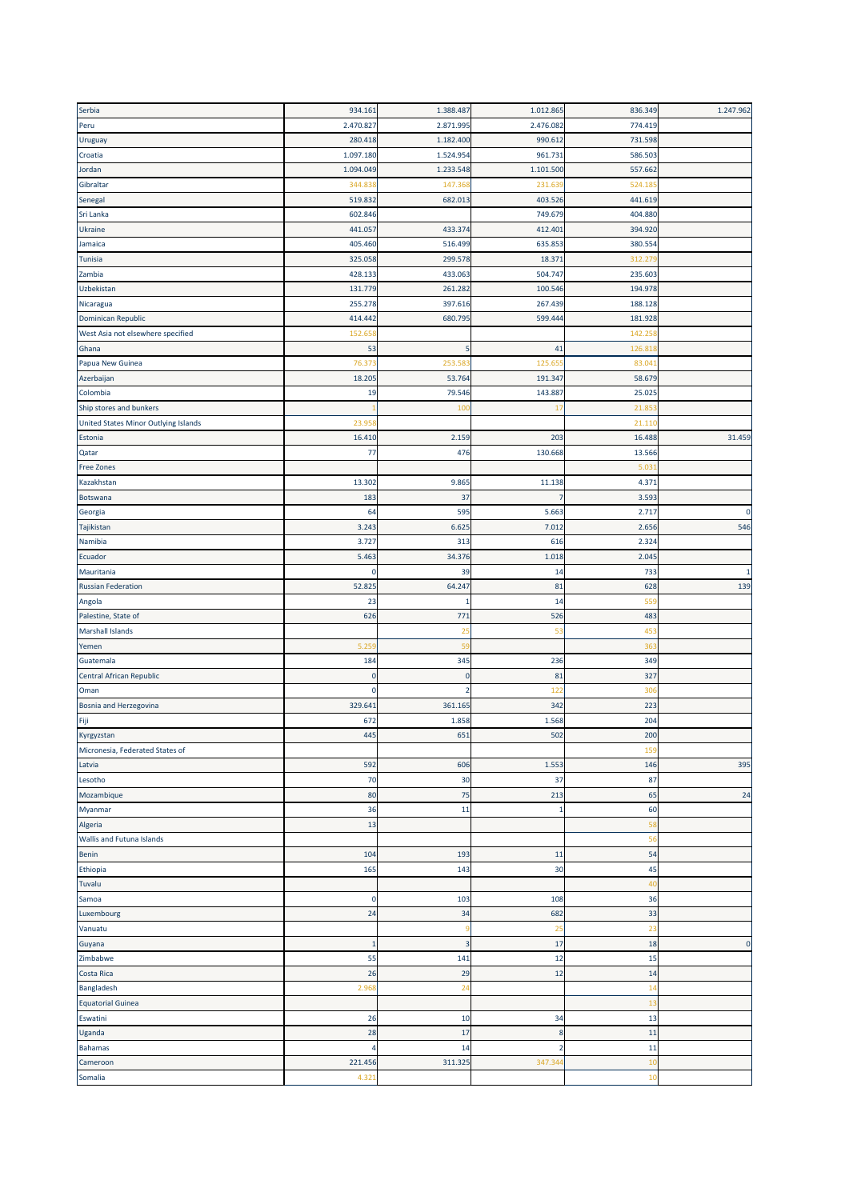| Serbia                               | 934.161      | 1.388.487    | 1.012.865      | 836.349         | 1.247.962   |
|--------------------------------------|--------------|--------------|----------------|-----------------|-------------|
| Peru                                 | 2.470.827    | 2.871.995    | 2.476.082      | 774.419         |             |
| Uruguay                              | 280.418      | 1.182.400    | 990.612        | 731.598         |             |
| Croatia                              | 1.097.180    | 1.524.954    | 961.731        | 586.503         |             |
| Jordan                               | 1.094.049    | 1.233.548    | 1.101.500      | 557.662         |             |
| Gibraltar                            | 344.838      | 147.36       | 231.63         | 524.18          |             |
| Senegal                              | 519.832      | 682.013      | 403.526        | 441.619         |             |
| Sri Lanka                            | 602.846      |              | 749.679        | 404.880         |             |
| Ukraine                              | 441.057      | 433.374      | 412.401        | 394.920         |             |
| Jamaica                              | 405.460      | 516.499      |                | 380.554         |             |
|                                      |              |              | 635.853        |                 |             |
| <b>Tunisia</b>                       | 325.058      | 299.578      | 18.371         | 312.27          |             |
| Zambia                               | 428.133      | 433.063      | 504.747        | 235.603         |             |
| Uzbekistan                           | 131.779      | 261.282      | 100.546        | 194.978         |             |
| Nicaragua                            | 255.278      | 397.616      | 267.439        | 188.128         |             |
| <b>Dominican Republic</b>            | 414.442      | 680.79       | 599.444        | 181.928         |             |
| West Asia not elsewhere specified    | 152.65       |              |                | 142.25          |             |
| Ghana                                | 53           | 5            | 41             | 126.81          |             |
| Papua New Guinea                     | 76.37        | 253.58       | 125.65         | 83.04           |             |
| Azerbaijan                           | 18.205       | 53.764       | 191.347        | 58.679          |             |
| Colombia                             | 19           | 79.546       | 143.887        | 25.025          |             |
| Ship stores and bunkers              |              | 100          | 17             | 21.85           |             |
| United States Minor Outlying Islands | 23.95        |              |                | 21.11           |             |
| Estonia                              | 16.410       | 2.159        | 203            | 16.488          | 31.459      |
| Qatar                                | 77           | 476          | 130.668        | 13.566          |             |
| <b>Free Zones</b>                    |              |              |                | 5.03            |             |
| Kazakhstan                           | 13.302       | 9.865        | 11.138         | 4.371           |             |
| Botswana                             | 183          | 37           | $\overline{7}$ | 3.593           |             |
| Georgia                              | 64           | 595          | 5.663          | 2.717           | $\mathbf 0$ |
| Tajikistan                           | 3.243        | 6.625        | 7.012          | 2.656           | 546         |
| Namibia                              | 3.727        | 313          | 616            | 2.324           |             |
| Ecuador                              | 5.463        | 34.376       | 1.018          | 2.045           |             |
| Mauritania                           | C            | 39           | 14             | 733             | -1          |
| <b>Russian Federation</b>            | 52.825       | 64.247       | 81             | 628             | 139         |
| Angola                               | 23           | 1            | 14             | 559             |             |
|                                      | 626          | 771          | 526            | 483             |             |
| Palestine, State of                  |              |              |                |                 |             |
| Marshall Islands                     |              | 25           | 53             | 453             |             |
| Yemen                                | 5.25         | 59           |                | 36 <sub>3</sub> |             |
| Guatemala                            | 184          | 345          | 236            | 349             |             |
| Central African Republic             | $\mathbf 0$  | $\mathbf{0}$ | 81             | 327             |             |
| Oman                                 | C            |              | 122            | 306             |             |
| Bosnia and Herzegovina               | 329.641      | 361.16       | 342            | 223             |             |
| Fiji                                 | 672          | 1.858        | 1.568          | 204             |             |
| Kyrgyzstan                           | 445          | 651          | 502            | 200             |             |
| Micronesia, Federated States of      |              |              |                | 159             |             |
| Latvia                               | 592          | 606          | 1.553          | 146             | 395         |
| Lesotho                              | 70           | 30           | 37             | 87              |             |
| Mozambique                           | 80           | 75           | 213            | 65              | 24          |
| Myanmar                              | 36           | 11           | $\mathbf{1}$   | 60              |             |
| Algeria                              | 13           |              |                | 58              |             |
| <b>Wallis and Futuna Islands</b>     |              |              |                | 56              |             |
| Benin                                | 104          | 193          | 11             | 54              |             |
| Ethiopia                             | 165          | 143          | 30             | 45              |             |
| Tuvalu                               |              |              |                | 40              |             |
| Samoa                                | $\mathbf 0$  | 103          | 108            | 36              |             |
| Luxembourg                           | 24           | 34           | 682            | 33              |             |
| Vanuatu                              |              | q            | 25             | 23              |             |
| Guyana                               | $\mathbf{1}$ | 3            | 17             | 18              | $\pmb{0}$   |
| Zimbabwe                             | 55           | 141          | 12             | 15              |             |
| Costa Rica                           | 26           | 29           | 12             | 14              |             |
| Bangladesh                           | 2.968        | 24           |                | 14              |             |
| <b>Equatorial Guinea</b>             |              |              |                | 13              |             |
| Eswatini                             | 26           | 10           | 34             | 13              |             |
| Uganda                               | 28           | 17           | $\bf 8$        | 11              |             |
| <b>Bahamas</b>                       | 4            | 14           | $\overline{2}$ | 11              |             |
| Cameroon                             | 221.456      | 311.325      | 347.34         | 10              |             |
|                                      |              |              |                |                 |             |
| Somalia                              | 4.321        |              |                | 10              |             |